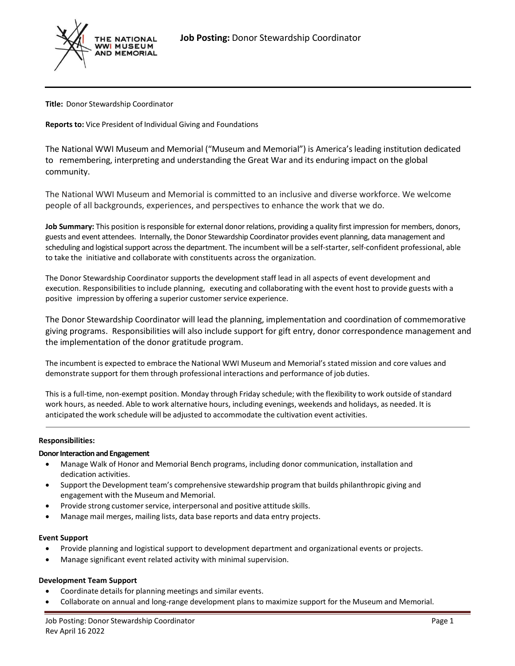

**Title:** Donor Stewardship Coordinator

**Reports to:** Vice President of Individual Giving and Foundations

The National WWI Museum and Memorial ("Museum and Memorial") is America's leading institution dedicated to remembering, interpreting and understanding the Great War and its enduring impact on the global community.

The National WWI Museum and Memorial is committed to an inclusive and diverse workforce. We welcome people of all backgrounds, experiences, and perspectives to enhance the work that we do.

**Job Summary:** This position is responsible for external donor relations, providing a quality first impression for members, donors, guests and event attendees. Internally, the Donor Stewardship Coordinator provides event planning, data management and scheduling and logistical support across the department. The incumbent will be a self-starter, self-confident professional, able to take the initiative and collaborate with constituents across the organization.

The Donor Stewardship Coordinator supports the development staff lead in all aspects of event development and execution. Responsibilities to include planning, executing and collaborating with the event host to provide guests with a positive impression by offering a superior customer service experience.

The Donor Stewardship Coordinator will lead the planning, implementation and coordination of commemorative giving programs. Responsibilities will also include support for gift entry, donor correspondence management and the implementation of the donor gratitude program.

The incumbent is expected to embrace the National WWI Museum and Memorial's stated mission and core values and demonstrate support for them through professional interactions and performance of job duties.

This is a full-time, non-exempt position. Monday through Friday schedule; with the flexibility to work outside ofstandard work hours, as needed. Able to work alternative hours, including evenings, weekends and holidays, as needed. It is anticipated the work schedule will be adjusted to accommodate the cultivation event activities.

### **Responsibilities:**

### **Donor Interaction and Engagement**

- Manage Walk of Honor and Memorial Bench programs, including donor communication, installation and dedication activities.
- Support the Development team's comprehensive stewardship program that builds philanthropic giving and engagement with the Museum and Memorial.
- Provide strong customer service, interpersonal and positive attitude skills.
- Manage mail merges, mailing lists, data base reports and data entry projects.

### **Event Support**

- Provide planning and logistical support to development department and organizational events or projects.
- Manage significant event related activity with minimal supervision.

## **Development Team Support**

- Coordinate details for planning meetings and similar events.
- Collaborate on annual and long-range development plans to maximize support for the Museum and Memorial.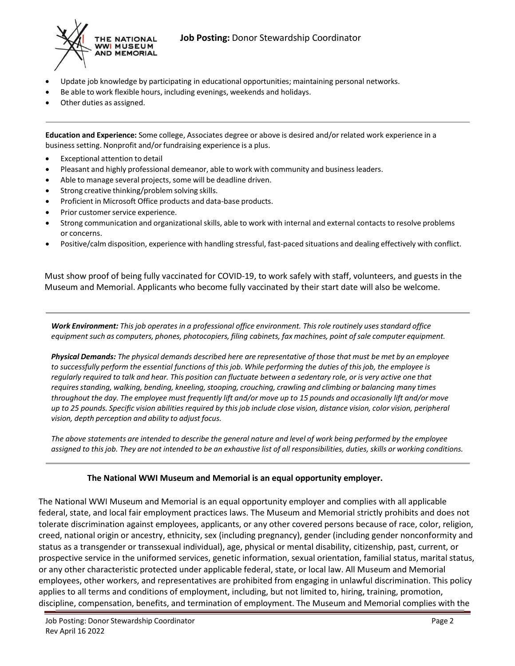

- Update job knowledge by participating in educational opportunities; maintaining personal networks.
- Be able to work flexible hours, including evenings, weekends and holidays.
- Other duties as assigned.

**Education and Experience:** Some college, Associates degree or above is desired and/or related work experience in a businesssetting. Nonprofit and/or fundraising experience is a plus.

- Exceptional attention to detail
- Pleasant and highly professional demeanor, able to work with community and business leaders.
- Able to manage several projects, some will be deadline driven.
- Strong creative thinking/problem solving skills.
- Proficient in Microsoft Office products and data-base products.
- Prior customer service experience.
- Strong communication and organizational skills, able to work with internal and external contacts to resolve problems or concerns.
- Positive/calm disposition, experience with handling stressful, fast-paced situations and dealing effectively with conflict.

Must show proof of being fully vaccinated for COVID-19, to work safely with staff, volunteers, and guests in the Museum and Memorial. Applicants who become fully vaccinated by their start date will also be welcome.

*Work Environment: Thisjob operates in a professional office environment. Thisrole routinely usesstandard office equipment such as computers, phones, photocopiers, filing cabinets, fax machines, point ofsale computer equipment.*

Physical Demands: The physical demands described here are representative of those that must be met by an employee to successfully perform the essential functions of this job. While performing the duties of this job, the employee is regularly reguired to talk and hear. This position can fluctuate between a sedentary role, or is very active one that *requiresstanding, walking, bending, kneeling, stooping, crouching, crawling and climbing or balancing many times* throughout the day. The employee must frequently lift and/or move up to 15 pounds and occasionally lift and/or move up to 25 pounds. Specific vision abilities required by this job include close vision, distance vision, color vision, peripheral *vision, depth perception and ability to adjust focus.*

The above statements are intended to describe the general nature and level of work being performed by the employee assigned to this job. They are not intended to be an exhaustive list of all responsibilities, duties, skills or working conditions.

## **The National WWI Museum and Memorial is an equal opportunity employer.**

The National WWI Museum and Memorial is an equal opportunity employer and complies with all applicable federal, state, and local fair employment practices laws. The Museum and Memorial strictly prohibits and does not tolerate discrimination against employees, applicants, or any other covered persons because of race, color, religion, creed, national origin or ancestry, ethnicity, sex (including pregnancy), gender (including gender nonconformity and status as a transgender or transsexual individual), age, physical or mental disability, citizenship, past, current, or prospective service in the uniformed services, genetic information, sexual orientation, familial status, marital status, or any other characteristic protected under applicable federal, state, or local law. All Museum and Memorial employees, other workers, and representatives are prohibited from engaging in unlawful discrimination. This policy applies to all terms and conditions of employment, including, but not limited to, hiring, training, promotion, discipline, compensation, benefits, and termination of employment. The Museum and Memorial complies with the